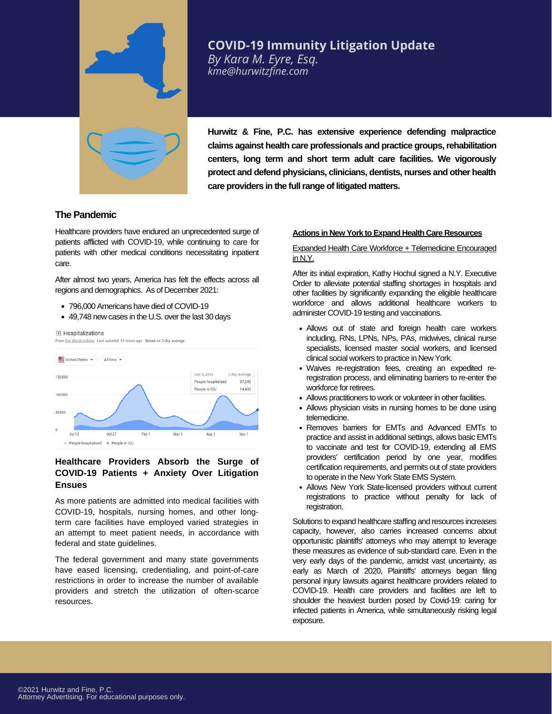

# **COVID-19 Immunity Litigation Update**

*By Kara M. Eyre, Esq. kme@hurwitzfine.com*

**Hurwitz & Fine, P.C. has extensive experience defending malpractice claims against health care professionals and practice groups,rehabilitation centers, long term and short term adult care facilities. We vigorously protect and defend physicians, clinicians, dentists, nurses and other health care providers in the fullrange of litigated matters.**

## **The Pandemic**

Healthcare providers have endured an unprecedented surge of patients afflicted with COVID-19, while continuing to care for patients with other medical conditions necessitating inpatient care.

After almost two years, America has felt the effects across all regions and demographics. As of December 2021:

- 796,000 Americans have died of COVID-19
- 49,748 new cases in the U.S. over the last 30 days



## **Healthcare Providers Absorb the Surge of COVID-19 Patients + Anxiety Over Litigation Ensues**

As more patients are admitted into medical facilities with COVID-19, hospitals, nursing homes, and other longterm care facilities have employed varied strategies in an attempt to meet patient needs, in accordance with federal and state guidelines.

The federal government and many state governments have eased licensing, credentialing, and point-of-care restrictions in order to increase the number of available providers and stretch the utilization of often-scarce resources.

#### **Actions in New York to Expand Health Care Resources**

#### Expanded Health Care Workforce + Telemedicine Encouraged in N.Y.

After its initial expiration, Kathy Hochul signed a N.Y. Executive Order to alleviate potential staffing shortages in hospitals and other facilities by significantly expanding the eligible healthcare workforce and allows additional healthcare workers to administer COVID-19 testing and vaccinations.

- Allows out of state and foreign health care workers including, RNs, LPNs, NPs, PAs, midwives, clinical nurse specialists, licensed master social workers, and licensed clinical social workers to practice in New York.
- Waives re-registration fees, creating an expedited reregistration process, and eliminating barriers to re-enter the workforce for retirees.
- Allows practitioners to work or volunteer in other facilities.
- Allows physician visits in nursing homes to be done using telemedicine.
- Removes barriers for EMTs and Advanced EMTs to practice and assist in additional settings, allows basic EMTs to vaccinate and test for COVID-19, extending all EMS providers' certification period by one year, modifies certification requirements, and permits out of state providers to operate in the New York State EMS System.
- Allows New York State-licensed providers without current registrations to practice without penalty for lack of registration.

Solutions to expand healthcare staffing and resources increases capacity, however, also carries increased concerns about opportunistic plaintiffs' attorneys who may attempt to leverage these measures as evidence of sub-standard care. Even in the very early days of the pandemic, amidst vast uncertainty, as early as March of 2020, Plaintiffs' attorneys began filing personal injury lawsuits against healthcare providers related to COVID-19. Health care providers and facilities are left to shoulder the heaviest burden posed by Covid-19: caring for infected patients in America, while simultaneously risking legal exposure.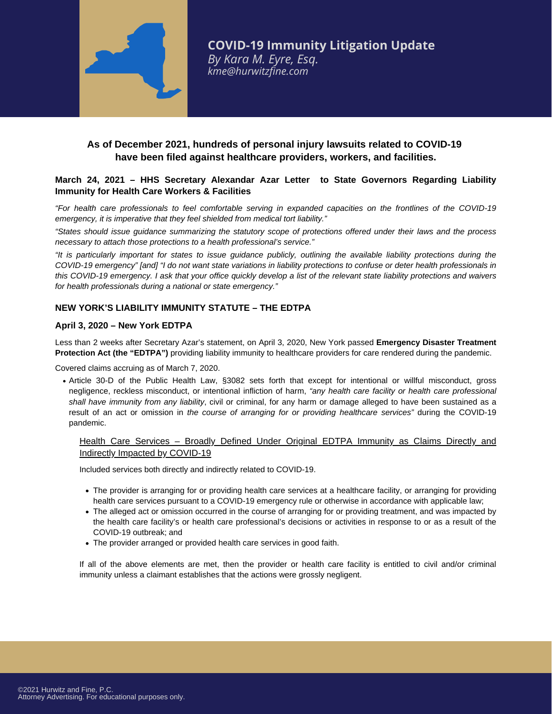

# **As of December 2021, hundreds of personal injury lawsuits related to COVID-19 have been filed against healthcare providers, workers, and facilities.**

## **March 24, 2021 – HHS Secretary Alexandar Azar Letter to State Governors Regarding Liability Immunity for Health Care Workers & Facilities**

"For health care professionals to feel comfortable serving in expanded capacities on the frontlines of the COVID-19 *emergency, it is imperative that they feel shielded from medical tort liability."*

"States should issue quidance summarizing the statutory scope of protections offered under their laws and the process *necessary to attach those protections to a health professional's service."*

"It is particularly important for states to issue quidance publicly, outlining the available liability protections during the COVID-19 emergency" [and] "I do not want state variations in liability protections to confuse or deter health professionals in this COVID-19 emergency. I ask that your office quickly develop a list of the relevant state liability protections and waivers *for health professionals during a national or state emergency."*

## **NEW YORK'S LIABILITY IMMUNITY STATUTE – THE EDTPA**

#### **April 3, 2020 – New York EDTPA**

Less than 2 weeks after Secretary Azar's statement, on April 3, 2020, New York passed **Emergency Disaster Treatment Protection Act (the "EDTPA")** providing liability immunity to healthcare providers for care rendered during the pandemic.

Covered claims accruing as of March 7, 2020.

Article 30-D of the Public Health Law, §3082 sets forth that except for intentional or willful misconduct, gross negligence, reckless misconduct, or intentional infliction of harm, *"any health care facility or health care professional shall have immunity from any liability*, civil or criminal, for any harm or damage alleged to have been sustained as a result of an act or omission in *the course of arranging for or providing healthcare services"* during the COVID-19 pandemic.

## Health Care Services – Broadly Defined Under Original EDTPA Immunity as Claims Directly and Indirectly Impacted by COVID-19

Included services both directly and indirectly related to COVID-19.

- The provider is arranging for or providing health care services at a healthcare facility, or arranging for providing health care services pursuant to a COVID-19 emergency rule or otherwise in accordance with applicable law;
- The alleged act or omission occurred in the course of arranging for or providing treatment, and was impacted by the health care facility's or health care professional's decisions or activities in response to or as a result of the COVID-19 outbreak; and
- The provider arranged or provided health care services in good faith.

If all of the above elements are met, then the provider or health care facility is entitled to civil and/or criminal immunity unless a claimant establishes that the actions were grossly negligent.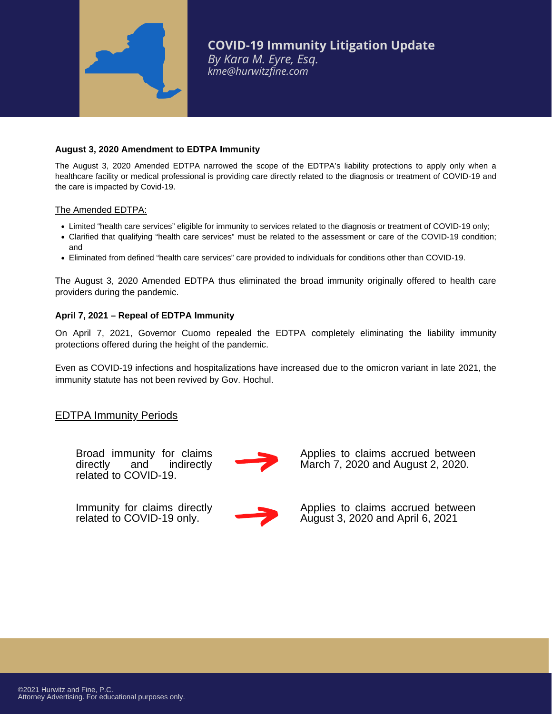

#### **August 3, 2020 Amendment to EDTPA Immunity**

The August 3, 2020 Amended EDTPA narrowed the scope of the EDTPA's liability protections to apply only when a healthcare facility or medical professional is providing care directly related to the diagnosis or treatment of COVID-19 and the care is impacted by Covid-19.

#### The Amended EDTPA:

- Limited "health care services" eligible for immunity to services related to the diagnosis or treatment of COVID-19 only;
- Clarified that qualifying "health care services" must be related to the assessment or care of the COVID-19 condition; and
- Eliminated from defined "health care services" care provided to individuals for conditions other than COVID-19.

The August 3, 2020 Amended EDTPA thus eliminated the broad immunity originally offered to health care providers during the pandemic.

## **April 7, 2021 – Repeal of EDTPA Immunity**

On April 7, 2021, Governor Cuomo repealed the EDTPA completely eliminating the liability immunity protections offered during the height of the pandemic.

Even as COVID-19 infections and hospitalizations have increased due to the omicron variant in late 2021, the immunity statute has not been revived by Gov. Hochul.

## EDTPA Immunity Periods

Broad immunity for claims<br>directly and indirectly indirectly related to COVID-19.



Immunity for claims directly related to COVID-19 only.

Applies to claims accrued between March 7, 2020 and August 2, 2020.

Applies to claims accrued between August 3, 2020 and April 6, 2021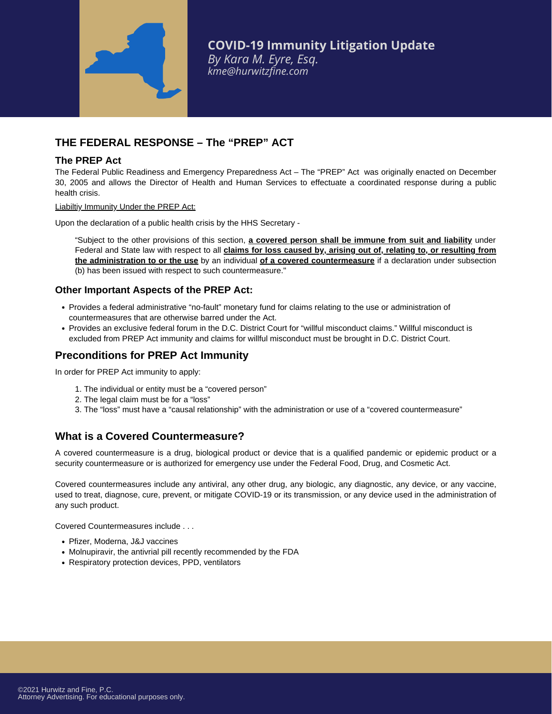

# **THE FEDERAL RESPONSE – The "PREP" ACT**

## **The PREP Act**

The Federal Public Readiness and Emergency Preparedness Act – The "PREP" Act was originally enacted on December 30, 2005 and allows the Director of Health and Human Services to effectuate a coordinated response during a public health crisis.

Liabiltiy Immunity Under the PREP Act:

Upon the declaration of a public health crisis by the HHS Secretary -

"Subject to the other provisions of this section, **a covered person shall be immune from suit and liability** under Federal and State law with respect to all **claims for loss caused by, arising out of, relating to, or resulting from the administration to or the use** by an individual **of a covered countermeasure** if a declaration under subsection (b) has been issued with respect to such countermeasure."

## **Other Important Aspects of the PREP Act:**

- Provides a federal administrative "no-fault" monetary fund for claims relating to the use or administration of countermeasures that are otherwise barred under the Act.
- Provides an exclusive federal forum in the D.C. District Court for "willful misconduct claims." Willful misconduct is excluded from PREP Act immunity and claims for willful misconduct must be brought in D.C. District Court.

# **Preconditions for PREP Act Immunity**

In order for PREP Act immunity to apply:

- 1. The individual or entity must be a "covered person"
- 2. The legal claim must be for a "loss"
- 3. The "loss" must have a "causal relationship" with the administration or use of a "covered countermeasure"

# **What is a Covered Countermeasure?**

A covered countermeasure is a drug, biological product or device that is a qualified pandemic or epidemic product or a security countermeasure or is authorized for emergency use under the Federal Food, Drug, and Cosmetic Act.

Covered countermeasures include any antiviral, any other drug, any biologic, any diagnostic, any device, or any vaccine, used to treat, diagnose, cure, prevent, or mitigate COVID-19 or its transmission, or any device used in the administration of any such product.

Covered Countermeasures include . . .

- Pfizer, Moderna, J&J vaccines
- Molnupiravir, the antivrial pill recently recommended by the FDA
- Respiratory protection devices, PPD, ventilators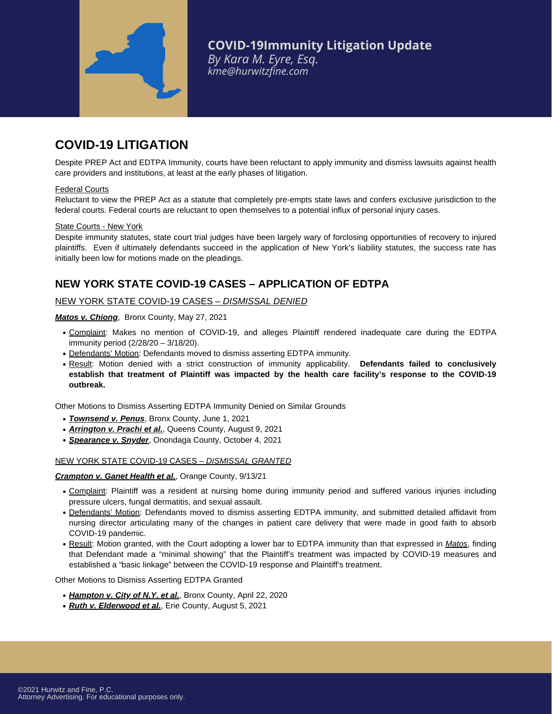

# **COVID-19 LITIGATION**

Despite PREP Act and EDTPA Immunity, courts have been reluctant to apply immunity and dismiss lawsuits against health care providers and institutions, at least at the early phases of litigation.

#### Federal Courts

Reluctant to view the PREP Act as a statute that completely pre-empts state laws and confers exclusive jurisdiction to the federal courts. Federal courts are reluctant to open themselves to a potential influx of personal injury cases.

#### State Courts - New York

Despite immunity statutes, state court trial judges have been largely wary of forclosing opportunities of recovery to injured plaintiffs. Even if ultimately defendants succeed in the application of New York's liability statutes, the success rate has initially been low for motions made on the pleadings.

# **NEW YORK STATE COVID-19 CASES – APPLICATION OF EDTPA**

#### NEW YORK STATE COVID-19 CASES – *DISMISSAL DENIED*

#### *Matos v. Chiong*, Bronx County, May 27, 2021

- Complaint: Makes no mention of COVID-19, and alleges Plaintiff rendered inadequate care during the EDTPA immunity period (2/28/20 – 3/18/20).
- Defendants' Motion: Defendants moved to dismiss asserting EDTPA immunity.
- Result: Motion denied with a strict construction ofimmunity applicability. **Defendants failed to conclusively establish that treatment of Plaintiff was impacted by the health care facility's response to the COVID-19 outbreak.**

Other Motions to Dismiss Asserting EDTPA Immunity Denied on Similar Grounds

- *Townsend v. Penus*, Bronx County, June 1, 2021
- *Arrington v. Prachi et al.*, Queens County, August 9, 2021
- *Spearance v. Snyder*, Onondaga County, October 4, 2021

#### NEW YORK STATE COVID-19 CASES – *DISMISSAL GRANTED*

#### *Crampton v. Ganet Health et al.*, Orange County, 9/13/21

- Complaint: Plaintiff was a resident at nursing home during immunity period and suffered various injuries including pressure ulcers, fungal dermatitis, and sexual assault.
- Defendants' Motion: Defendants moved to dismiss asserting EDTPA immunity, and submitted detailed affidavit from nursing director articulating many of the changes in patient care delivery that were made in good faith to absorb COVID-19 pandemic.
- Result: Motion granted, with the Court adopting a lower bar to EDTPA immunity than that expressed in *Matos*, finding that Defendant made a "minimal showing" that the Plaintiff's treatment was impacted by COVID-19 measures and established a "basic linkage" between the COVID-19 response and Plaintiff's treatment.

Other Motions to Dismiss Asserting EDTPA Granted

- *Hampton v. City of N.Y. et al.*, Bronx County, April 22, 2020
- *Ruth v. Elderwood et al.*, Erie County, August 5, 2021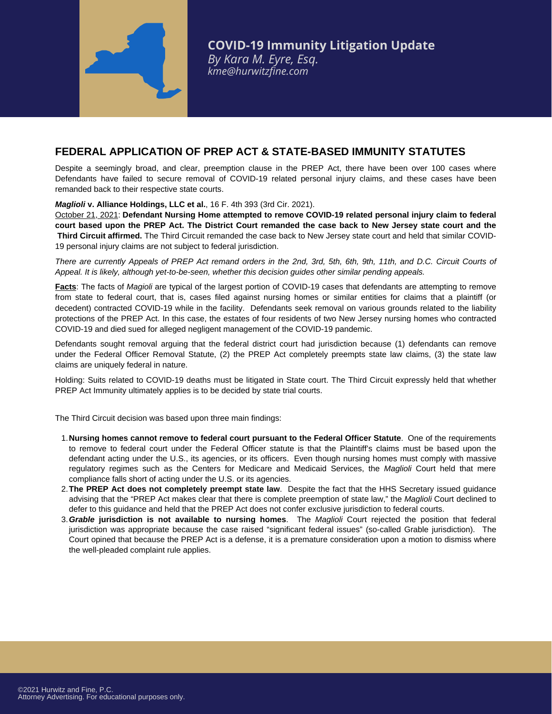

# **FEDERAL APPLICATION OF PREP ACT & STATE-BASED IMMUNITY STATUTES**

Despite a seemingly broad, and clear, preemption clause in the PREP Act, there have been over 100 cases where Defendants have failed to secure removal of COVID-19 related personal injury claims, and these cases have been remanded back to their respective state courts.

#### *Maglioli* **v. Alliance Holdings, LLC et al.**, 16 F. 4th 393 (3rd Cir. 2021).

October 21, 2021: **Defendant Nursing Home attempted to remove COVID-19 related personal injury claim to federal court based upon the PREP Act. The District Court remanded the case back to New Jersey state court and the Third Circuit affirmed.** The Third Circuit remanded the case back to New Jersey state court and held that similar COVID-19 personal injury claims are not subject to federal jurisdiction.

*There are currently Appeals of PREP Act remand orders in the 2nd, 3rd, 5th, 6th, 9th, 11th, and D.C. Circuit Courts of Appeal. It is likely, although yet-to-be-seen, whether this decision guides other similar pending appeals.*

Facts: The facts of *Magioli* are typical of the largest portion of COVID-19 cases that defendants are attempting to remove from state to federal court, that is, cases filed against nursing homes or similar entities for claims that a plaintiff (or decedent) contracted COVID-19 while in the facility. Defendants seek removal on various grounds related to the liability protections of the PREP Act. In this case, the estates of four residents of two New Jersey nursing homes who contracted COVID-19 and died sued for alleged negligent management of the COVID-19 pandemic.

Defendants sought removal arguing that the federal district court had jurisdiction because (1) defendants can remove under the Federal Officer Removal Statute, (2) the PREP Act completely preempts state law claims, (3) the state law claims are uniquely federal in nature.

Holding: Suits related to COVID-19 deaths must be litigated in State court. The Third Circuit expressly held that whether PREP Act Immunity ultimately applies is to be decided by state trial courts.

The Third Circuit decision was based upon three main findings:

- **Nursing homes cannot remove to federal court pursuant to the Federal Officer Statute**. One of the requirements 1. to remove to federal court under the Federal Officer statute is that the Plaintiff's claims must be based upon the defendant acting under the U.S., its agencies, or its officers. Even though nursing homes must comply with massive regulatory regimes such as the Centers for Medicare and Medicaid Services, the *Maglioli* Court held that mere compliance falls short of acting under the U.S. or its agencies.
- **The PREP Act does not completely preempt state law**. Despite the fact that the HHS Secretary issued guidance 2. advising that the "PREP Act makes clear that there is complete preemption of state law," the *Maglioli* Court declined to defer to this guidance and held that the PREP Act does not confer exclusive jurisdiction to federal courts.
- *Grable* **jurisdiction is not available to nursing homes**. The *Maglioli* Court rejected the position that federal 3.jurisdiction was appropriate because the case raised "significant federal issues" (so-called Grable jurisdiction). The Court opined that because the PREP Act is a defense, it is a premature consideration upon a motion to dismiss where the well-pleaded complaint rule applies.